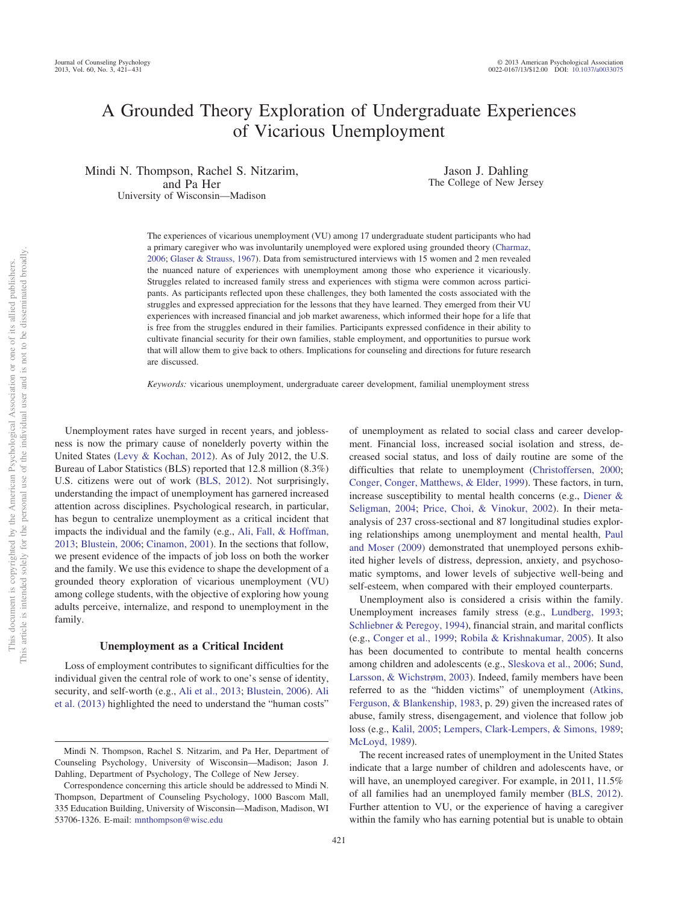# A Grounded Theory Exploration of Undergraduate Experiences of Vicarious Unemployment

Mindi N. Thompson, Rachel S. Nitzarim, and Pa Her University of Wisconsin—Madison

Jason J. Dahling The College of New Jersey

The experiences of vicarious unemployment (VU) among 17 undergraduate student participants who had a primary caregiver who was involuntarily unemployed were explored using grounded theory [\(Charmaz,](#page-8-0) [2006;](#page-8-0) [Glaser & Strauss, 1967\)](#page-9-0). Data from semistructured interviews with 15 women and 2 men revealed the nuanced nature of experiences with unemployment among those who experience it vicariously. Struggles related to increased family stress and experiences with stigma were common across participants. As participants reflected upon these challenges, they both lamented the costs associated with the struggles and expressed appreciation for the lessons that they have learned. They emerged from their VU experiences with increased financial and job market awareness, which informed their hope for a life that is free from the struggles endured in their families. Participants expressed confidence in their ability to cultivate financial security for their own families, stable employment, and opportunities to pursue work that will allow them to give back to others. Implications for counseling and directions for future research are discussed.

*Keywords:* vicarious unemployment, undergraduate career development, familial unemployment stress

Unemployment rates have surged in recent years, and joblessness is now the primary cause of nonelderly poverty within the United States [\(Levy & Kochan, 2012\)](#page-9-1). As of July 2012, the U.S. Bureau of Labor Statistics (BLS) reported that 12.8 million (8.3%) U.S. citizens were out of work [\(BLS, 2012\)](#page-8-1). Not surprisingly, understanding the impact of unemployment has garnered increased attention across disciplines. Psychological research, in particular, has begun to centralize unemployment as a critical incident that impacts the individual and the family (e.g., [Ali, Fall, & Hoffman,](#page-8-2) [2013;](#page-8-2) [Blustein, 2006;](#page-8-3) [Cinamon, 2001\)](#page-8-4). In the sections that follow, we present evidence of the impacts of job loss on both the worker and the family. We use this evidence to shape the development of a grounded theory exploration of vicarious unemployment (VU) among college students, with the objective of exploring how young adults perceive, internalize, and respond to unemployment in the family.

#### **Unemployment as a Critical Incident**

Loss of employment contributes to significant difficulties for the individual given the central role of work to one's sense of identity, security, and self-worth (e.g., [Ali et al., 2013;](#page-8-2) [Blustein, 2006\)](#page-8-3). [Ali](#page-8-2) [et al. \(2013\)](#page-8-2) highlighted the need to understand the "human costs"

of unemployment as related to social class and career development. Financial loss, increased social isolation and stress, decreased social status, and loss of daily routine are some of the difficulties that relate to unemployment [\(Christoffersen, 2000;](#page-8-5) [Conger, Conger, Matthews, & Elder, 1999\)](#page-8-6). These factors, in turn, increase susceptibility to mental health concerns (e.g., [Diener &](#page-8-7) [Seligman, 2004;](#page-8-7) [Price, Choi, & Vinokur, 2002\)](#page-9-2). In their metaanalysis of 237 cross-sectional and 87 longitudinal studies exploring relationships among unemployment and mental health, [Paul](#page-9-3) [and Moser \(2009\)](#page-9-3) demonstrated that unemployed persons exhibited higher levels of distress, depression, anxiety, and psychosomatic symptoms, and lower levels of subjective well-being and self-esteem, when compared with their employed counterparts.

Unemployment also is considered a crisis within the family. Unemployment increases family stress (e.g., [Lundberg, 1993;](#page-9-4) [Schliebner & Peregoy, 1994\)](#page-9-5), financial strain, and marital conflicts (e.g., [Conger et al., 1999;](#page-8-6) [Robila & Krishnakumar, 2005\)](#page-9-6). It also has been documented to contribute to mental health concerns among children and adolescents (e.g., [Sleskova et al., 2006;](#page-9-7) [Sund,](#page-9-8) [Larsson, & Wichstrøm, 2003\)](#page-9-8). Indeed, family members have been referred to as the "hidden victims" of unemployment [\(Atkins,](#page-8-8) [Ferguson, & Blankenship, 1983,](#page-8-8) p. 29) given the increased rates of abuse, family stress, disengagement, and violence that follow job loss (e.g., [Kalil, 2005;](#page-9-9) [Lempers, Clark-Lempers, & Simons, 1989;](#page-9-10) [McLoyd, 1989\)](#page-9-11).

The recent increased rates of unemployment in the United States indicate that a large number of children and adolescents have, or will have, an unemployed caregiver. For example, in 2011, 11.5% of all families had an unemployed family member [\(BLS, 2012\)](#page-8-1). Further attention to VU, or the experience of having a caregiver within the family who has earning potential but is unable to obtain

Mindi N. Thompson, Rachel S. Nitzarim, and Pa Her, Department of Counseling Psychology, University of Wisconsin—Madison; Jason J. Dahling, Department of Psychology, The College of New Jersey.

Correspondence concerning this article should be addressed to Mindi N. Thompson, Department of Counseling Psychology, 1000 Bascom Mall, 335 Education Building, University of Wisconsin—Madison, Madison, WI 53706-1326. E-mail: [mnthompson@wisc.edu](mailto:mnthompson@wisc.edu)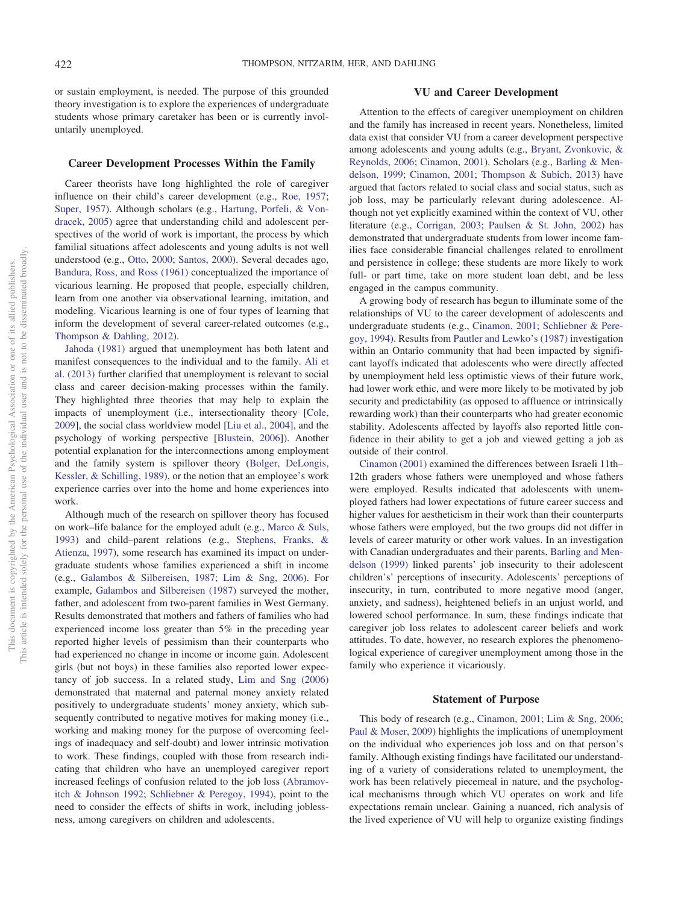or sustain employment, is needed. The purpose of this grounded theory investigation is to explore the experiences of undergraduate students whose primary caretaker has been or is currently involuntarily unemployed.

# **Career Development Processes Within the Family**

Career theorists have long highlighted the role of caregiver influence on their child's career development (e.g., [Roe, 1957;](#page-9-12) [Super, 1957\)](#page-9-13). Although scholars (e.g., [Hartung, Porfeli, & Von](#page-9-14)[dracek, 2005\)](#page-9-14) agree that understanding child and adolescent perspectives of the world of work is important, the process by which familial situations affect adolescents and young adults is not well understood (e.g., [Otto, 2000;](#page-9-15) [Santos, 2000\)](#page-9-16). Several decades ago, [Bandura, Ross, and Ross \(1961\)](#page-8-9) conceptualized the importance of vicarious learning. He proposed that people, especially children, learn from one another via observational learning, imitation, and modeling. Vicarious learning is one of four types of learning that inform the development of several career-related outcomes (e.g., [Thompson & Dahling, 2012\)](#page-9-17).

[Jahoda \(1981\)](#page-9-18) argued that unemployment has both latent and manifest consequences to the individual and to the family. [Ali et](#page-8-2) [al. \(2013\)](#page-8-2) further clarified that unemployment is relevant to social class and career decision-making processes within the family. They highlighted three theories that may help to explain the impacts of unemployment (i.e., intersectionality theory [\[Cole,](#page-8-10) [2009\]](#page-8-10), the social class worldview model [\[Liu et al., 2004\]](#page-9-19), and the psychology of working perspective [\[Blustein, 2006\]](#page-8-3)). Another potential explanation for the interconnections among employment and the family system is spillover theory [\(Bolger, DeLongis,](#page-8-11) [Kessler, & Schilling, 1989\)](#page-8-11), or the notion that an employee's work experience carries over into the home and home experiences into work.

Although much of the research on spillover theory has focused on work–life balance for the employed adult (e.g., [Marco & Suls,](#page-9-20) [1993\)](#page-9-20) and child–parent relations (e.g., [Stephens, Franks, &](#page-9-21) [Atienza, 1997\)](#page-9-21), some research has examined its impact on undergraduate students whose families experienced a shift in income (e.g., [Galambos & Silbereisen, 1987;](#page-9-22) [Lim & Sng, 2006\)](#page-9-23). For example, [Galambos and Silbereisen \(1987\)](#page-9-22) surveyed the mother, father, and adolescent from two-parent families in West Germany. Results demonstrated that mothers and fathers of families who had experienced income loss greater than 5% in the preceding year reported higher levels of pessimism than their counterparts who had experienced no change in income or income gain. Adolescent girls (but not boys) in these families also reported lower expectancy of job success. In a related study, [Lim and Sng \(2006\)](#page-9-23) demonstrated that maternal and paternal money anxiety related positively to undergraduate students' money anxiety, which subsequently contributed to negative motives for making money (i.e., working and making money for the purpose of overcoming feelings of inadequacy and self-doubt) and lower intrinsic motivation to work. These findings, coupled with those from research indicating that children who have an unemployed caregiver report increased feelings of confusion related to the job loss [\(Abramov](#page-8-12)[itch & Johnson 1992;](#page-8-12) [Schliebner & Peregoy, 1994\)](#page-9-5), point to the need to consider the effects of shifts in work, including joblessness, among caregivers on children and adolescents.

#### **VU and Career Development**

Attention to the effects of caregiver unemployment on children and the family has increased in recent years. Nonetheless, limited data exist that consider VU from a career development perspective among adolescents and young adults (e.g., [Bryant, Zvonkovic, &](#page-8-13) [Reynolds, 2006;](#page-8-13) [Cinamon, 2001\)](#page-8-4). Scholars (e.g., [Barling & Men](#page-8-14)[delson, 1999;](#page-8-14) [Cinamon, 2001;](#page-8-4) [Thompson & Subich, 2013\)](#page-9-24) have argued that factors related to social class and social status, such as job loss, may be particularly relevant during adolescence. Although not yet explicitly examined within the context of VU, other literature (e.g., [Corrigan, 2003;](#page-8-15) [Paulsen & St. John, 2002\)](#page-9-25) has demonstrated that undergraduate students from lower income families face considerable financial challenges related to enrollment and persistence in college; these students are more likely to work full- or part time, take on more student loan debt, and be less engaged in the campus community.

A growing body of research has begun to illuminate some of the relationships of VU to the career development of adolescents and undergraduate students (e.g., [Cinamon, 2001;](#page-8-4) [Schliebner & Pere](#page-9-5)[goy, 1994\)](#page-9-5). Results from [Pautler and Lewko's \(1987\)](#page-9-26) investigation within an Ontario community that had been impacted by significant layoffs indicated that adolescents who were directly affected by unemployment held less optimistic views of their future work, had lower work ethic, and were more likely to be motivated by job security and predictability (as opposed to affluence or intrinsically rewarding work) than their counterparts who had greater economic stability. Adolescents affected by layoffs also reported little confidence in their ability to get a job and viewed getting a job as outside of their control.

[Cinamon \(2001\)](#page-8-4) examined the differences between Israeli 11th– 12th graders whose fathers were unemployed and whose fathers were employed. Results indicated that adolescents with unemployed fathers had lower expectations of future career success and higher values for aestheticism in their work than their counterparts whose fathers were employed, but the two groups did not differ in levels of career maturity or other work values. In an investigation with Canadian undergraduates and their parents, [Barling and Men](#page-8-14)[delson \(1999\)](#page-8-14) linked parents' job insecurity to their adolescent children's' perceptions of insecurity. Adolescents' perceptions of insecurity, in turn, contributed to more negative mood (anger, anxiety, and sadness), heightened beliefs in an unjust world, and lowered school performance. In sum, these findings indicate that caregiver job loss relates to adolescent career beliefs and work attitudes. To date, however, no research explores the phenomenological experience of caregiver unemployment among those in the family who experience it vicariously.

#### **Statement of Purpose**

This body of research (e.g., [Cinamon, 2001;](#page-8-4) [Lim & Sng, 2006;](#page-9-23) [Paul & Moser, 2009\)](#page-9-3) highlights the implications of unemployment on the individual who experiences job loss and on that person's family. Although existing findings have facilitated our understanding of a variety of considerations related to unemployment, the work has been relatively piecemeal in nature, and the psychological mechanisms through which VU operates on work and life expectations remain unclear. Gaining a nuanced, rich analysis of the lived experience of VU will help to organize existing findings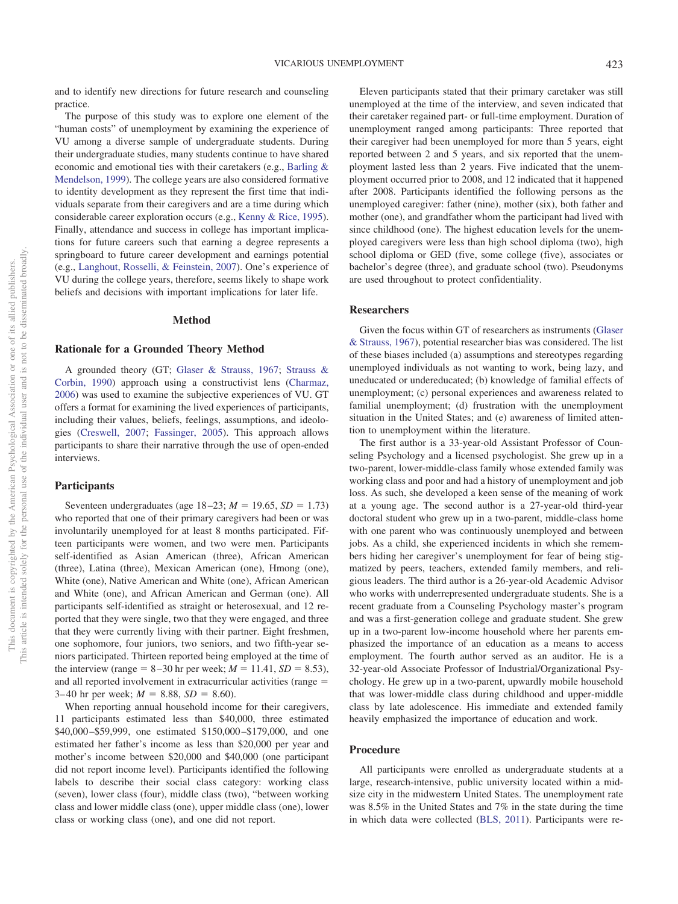and to identify new directions for future research and counseling practice.

The purpose of this study was to explore one element of the "human costs" of unemployment by examining the experience of VU among a diverse sample of undergraduate students. During their undergraduate studies, many students continue to have shared economic and emotional ties with their caretakers (e.g., [Barling &](#page-8-14) [Mendelson, 1999\)](#page-8-14). The college years are also considered formative to identity development as they represent the first time that individuals separate from their caregivers and are a time during which considerable career exploration occurs (e.g., [Kenny & Rice, 1995\)](#page-9-27). Finally, attendance and success in college has important implications for future careers such that earning a degree represents a springboard to future career development and earnings potential (e.g., [Langhout, Rosselli, & Feinstein, 2007\)](#page-9-28). One's experience of VU during the college years, therefore, seems likely to shape work beliefs and decisions with important implications for later life.

#### **Method**

#### **Rationale for a Grounded Theory Method**

A grounded theory (GT; [Glaser & Strauss, 1967;](#page-9-0) [Strauss &](#page-9-29) [Corbin, 1990\)](#page-9-29) approach using a constructivist lens [\(Charmaz,](#page-8-0) [2006\)](#page-8-0) was used to examine the subjective experiences of VU. GT offers a format for examining the lived experiences of participants, including their values, beliefs, feelings, assumptions, and ideologies [\(Creswell, 2007;](#page-8-16) [Fassinger, 2005\)](#page-8-17). This approach allows participants to share their narrative through the use of open-ended interviews.

## **Participants**

Seventeen undergraduates (age  $18 - 23$ ;  $M = 19.65$ ,  $SD = 1.73$ ) who reported that one of their primary caregivers had been or was involuntarily unemployed for at least 8 months participated. Fifteen participants were women, and two were men. Participants self-identified as Asian American (three), African American (three), Latina (three), Mexican American (one), Hmong (one), White (one), Native American and White (one), African American and White (one), and African American and German (one). All participants self-identified as straight or heterosexual, and 12 reported that they were single, two that they were engaged, and three that they were currently living with their partner. Eight freshmen, one sophomore, four juniors, two seniors, and two fifth-year seniors participated. Thirteen reported being employed at the time of the interview (range  $= 8-30$  hr per week;  $M = 11.41$ ,  $SD = 8.53$ ), and all reported involvement in extracurricular activities (range 3–40 hr per week;  $M = 8.88$ ,  $SD = 8.60$ ).

When reporting annual household income for their caregivers, 11 participants estimated less than \$40,000, three estimated \$40,000 –\$59,999, one estimated \$150,000 –\$179,000, and one estimated her father's income as less than \$20,000 per year and mother's income between \$20,000 and \$40,000 (one participant did not report income level). Participants identified the following labels to describe their social class category: working class (seven), lower class (four), middle class (two), "between working class and lower middle class (one), upper middle class (one), lower class or working class (one), and one did not report.

Eleven participants stated that their primary caretaker was still unemployed at the time of the interview, and seven indicated that their caretaker regained part- or full-time employment. Duration of unemployment ranged among participants: Three reported that their caregiver had been unemployed for more than 5 years, eight reported between 2 and 5 years, and six reported that the unemployment lasted less than 2 years. Five indicated that the unemployment occurred prior to 2008, and 12 indicated that it happened after 2008. Participants identified the following persons as the unemployed caregiver: father (nine), mother (six), both father and mother (one), and grandfather whom the participant had lived with since childhood (one). The highest education levels for the unemployed caregivers were less than high school diploma (two), high school diploma or GED (five, some college (five), associates or bachelor's degree (three), and graduate school (two). Pseudonyms are used throughout to protect confidentiality.

## **Researchers**

Given the focus within GT of researchers as instruments [\(Glaser](#page-9-0) [& Strauss, 1967\)](#page-9-0), potential researcher bias was considered. The list of these biases included (a) assumptions and stereotypes regarding unemployed individuals as not wanting to work, being lazy, and uneducated or undereducated; (b) knowledge of familial effects of unemployment; (c) personal experiences and awareness related to familial unemployment; (d) frustration with the unemployment situation in the United States; and (e) awareness of limited attention to unemployment within the literature.

The first author is a 33-year-old Assistant Professor of Counseling Psychology and a licensed psychologist. She grew up in a two-parent, lower-middle-class family whose extended family was working class and poor and had a history of unemployment and job loss. As such, she developed a keen sense of the meaning of work at a young age. The second author is a 27-year-old third-year doctoral student who grew up in a two-parent, middle-class home with one parent who was continuously unemployed and between jobs. As a child, she experienced incidents in which she remembers hiding her caregiver's unemployment for fear of being stigmatized by peers, teachers, extended family members, and religious leaders. The third author is a 26-year-old Academic Advisor who works with underrepresented undergraduate students. She is a recent graduate from a Counseling Psychology master's program and was a first-generation college and graduate student. She grew up in a two-parent low-income household where her parents emphasized the importance of an education as a means to access employment. The fourth author served as an auditor. He is a 32-year-old Associate Professor of Industrial/Organizational Psychology. He grew up in a two-parent, upwardly mobile household that was lower-middle class during childhood and upper-middle class by late adolescence. His immediate and extended family heavily emphasized the importance of education and work.

#### **Procedure**

All participants were enrolled as undergraduate students at a large, research-intensive, public university located within a midsize city in the midwestern United States. The unemployment rate was 8.5% in the United States and 7% in the state during the time in which data were collected [\(BLS, 2011\)](#page-8-18). Participants were re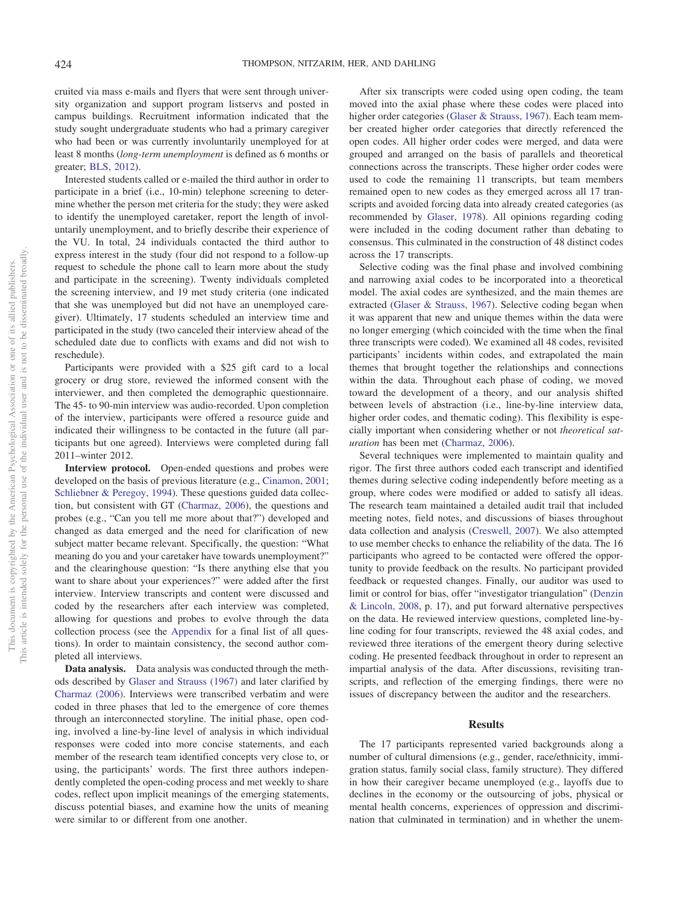cruited via mass e-mails and flyers that were sent through university organization and support program listservs and posted in campus buildings. Recruitment information indicated that the study sought undergraduate students who had a primary caregiver who had been or was currently involuntarily unemployed for at least 8 months (*long-term unemployment* is defined as 6 months or greater; [BLS, 2012\)](#page-8-1).

Interested students called or e-mailed the third author in order to participate in a brief (i.e., 10-min) telephone screening to determine whether the person met criteria for the study; they were asked to identify the unemployed caretaker, report the length of involuntarily unemployment, and to briefly describe their experience of the VU. In total, 24 individuals contacted the third author to express interest in the study (four did not respond to a follow-up request to schedule the phone call to learn more about the study and participate in the screening). Twenty individuals completed the screening interview, and 19 met study criteria (one indicated that she was unemployed but did not have an unemployed caregiver). Ultimately, 17 students scheduled an interview time and participated in the study (two canceled their interview ahead of the scheduled date due to conflicts with exams and did not wish to reschedule).

Participants were provided with a \$25 gift card to a local grocery or drug store, reviewed the informed consent with the interviewer, and then completed the demographic questionnaire. The 45- to 90-min interview was audio-recorded. Upon completion of the interview, participants were offered a resource guide and indicated their willingness to be contacted in the future (all participants but one agreed). Interviews were completed during fall 2011–winter 2012.

**Interview protocol.** Open-ended questions and probes were developed on the basis of previous literature (e.g., [Cinamon, 2001;](#page-8-4) [Schliebner & Peregoy, 1994\)](#page-9-5). These questions guided data collection, but consistent with GT [\(Charmaz, 2006\)](#page-8-0), the questions and probes (e.g., "Can you tell me more about that?") developed and changed as data emerged and the need for clarification of new subject matter became relevant. Specifically, the question: "What meaning do you and your caretaker have towards unemployment?" and the clearinghouse question: "Is there anything else that you want to share about your experiences?" were added after the first interview. Interview transcripts and content were discussed and coded by the researchers after each interview was completed, allowing for questions and probes to evolve through the data collection process (see the [Appendix](#page-10-0) for a final list of all questions). In order to maintain consistency, the second author completed all interviews.

**Data analysis.** Data analysis was conducted through the methods described by [Glaser and Strauss \(1967\)](#page-9-0) and later clarified by [Charmaz \(2006\).](#page-8-0) Interviews were transcribed verbatim and were coded in three phases that led to the emergence of core themes through an interconnected storyline. The initial phase, open coding, involved a line-by-line level of analysis in which individual responses were coded into more concise statements, and each member of the research team identified concepts very close to, or using, the participants' words. The first three authors independently completed the open-coding process and met weekly to share codes, reflect upon implicit meanings of the emerging statements, discuss potential biases, and examine how the units of meaning were similar to or different from one another.

After six transcripts were coded using open coding, the team moved into the axial phase where these codes were placed into higher order categories [\(Glaser & Strauss, 1967\)](#page-9-0). Each team member created higher order categories that directly referenced the open codes. All higher order codes were merged, and data were grouped and arranged on the basis of parallels and theoretical connections across the transcripts. These higher order codes were used to code the remaining 11 transcripts, but team members remained open to new codes as they emerged across all 17 transcripts and avoided forcing data into already created categories (as recommended by [Glaser, 1978\)](#page-9-30). All opinions regarding coding were included in the coding document rather than debating to consensus. This culminated in the construction of 48 distinct codes across the 17 transcripts.

Selective coding was the final phase and involved combining and narrowing axial codes to be incorporated into a theoretical model. The axial codes are synthesized, and the main themes are extracted [\(Glaser & Strauss, 1967\)](#page-9-0). Selective coding began when it was apparent that new and unique themes within the data were no longer emerging (which coincided with the time when the final three transcripts were coded). We examined all 48 codes, revisited participants' incidents within codes, and extrapolated the main themes that brought together the relationships and connections within the data. Throughout each phase of coding, we moved toward the development of a theory, and our analysis shifted between levels of abstraction (i.e., line-by-line interview data, higher order codes, and thematic coding). This flexibility is especially important when considering whether or not *theoretical saturation* has been met [\(Charmaz, 2006\)](#page-8-0).

Several techniques were implemented to maintain quality and rigor. The first three authors coded each transcript and identified themes during selective coding independently before meeting as a group, where codes were modified or added to satisfy all ideas. The research team maintained a detailed audit trail that included meeting notes, field notes, and discussions of biases throughout data collection and analysis [\(Creswell, 2007\)](#page-8-16). We also attempted to use member checks to enhance the reliability of the data. The 16 participants who agreed to be contacted were offered the opportunity to provide feedback on the results. No participant provided feedback or requested changes. Finally, our auditor was used to limit or control for bias, offer "investigator triangulation" [\(Denzin](#page-8-19) [& Lincoln, 2008,](#page-8-19) p. 17), and put forward alternative perspectives on the data. He reviewed interview questions, completed line-byline coding for four transcripts, reviewed the 48 axial codes, and reviewed three iterations of the emergent theory during selective coding. He presented feedback throughout in order to represent an impartial analysis of the data. After discussions, revisiting transcripts, and reflection of the emerging findings, there were no issues of discrepancy between the auditor and the researchers.

#### **Results**

The 17 participants represented varied backgrounds along a number of cultural dimensions (e.g., gender, race/ethnicity, immigration status, family social class, family structure). They differed in how their caregiver became unemployed (e.g., layoffs due to declines in the economy or the outsourcing of jobs, physical or mental health concerns, experiences of oppression and discrimination that culminated in termination) and in whether the unem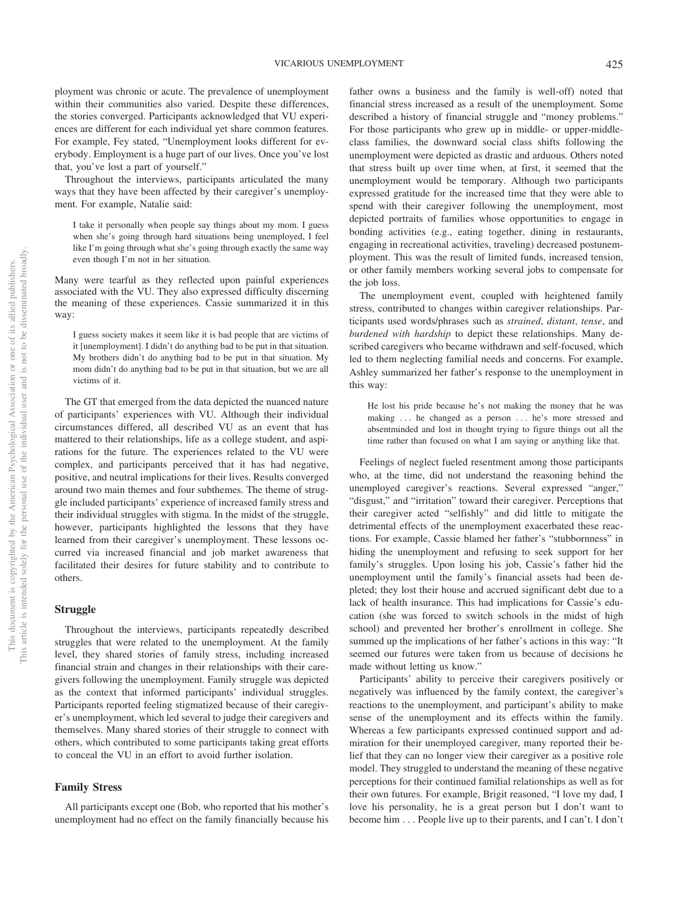ployment was chronic or acute. The prevalence of unemployment within their communities also varied. Despite these differences, the stories converged. Participants acknowledged that VU experiences are different for each individual yet share common features. For example, Fey stated, "Unemployment looks different for everybody. Employment is a huge part of our lives. Once you've lost that, you've lost a part of yourself."

Throughout the interviews, participants articulated the many ways that they have been affected by their caregiver's unemployment. For example, Natalie said:

I take it personally when people say things about my mom. I guess when she's going through hard situations being unemployed, I feel like I'm going through what she's going through exactly the same way even though I'm not in her situation.

Many were tearful as they reflected upon painful experiences associated with the VU. They also expressed difficulty discerning the meaning of these experiences. Cassie summarized it in this way:

I guess society makes it seem like it is bad people that are victims of it [unemployment]. I didn't do anything bad to be put in that situation. My brothers didn't do anything bad to be put in that situation. My mom didn't do anything bad to be put in that situation, but we are all victims of it.

The GT that emerged from the data depicted the nuanced nature of participants' experiences with VU. Although their individual circumstances differed, all described VU as an event that has mattered to their relationships, life as a college student, and aspirations for the future. The experiences related to the VU were complex, and participants perceived that it has had negative, positive, and neutral implications for their lives. Results converged around two main themes and four subthemes. The theme of struggle included participants' experience of increased family stress and their individual struggles with stigma. In the midst of the struggle, however, participants highlighted the lessons that they have learned from their caregiver's unemployment. These lessons occurred via increased financial and job market awareness that facilitated their desires for future stability and to contribute to others.

## **Struggle**

Throughout the interviews, participants repeatedly described struggles that were related to the unemployment. At the family level, they shared stories of family stress, including increased financial strain and changes in their relationships with their caregivers following the unemployment. Family struggle was depicted as the context that informed participants' individual struggles. Participants reported feeling stigmatized because of their caregiver's unemployment, which led several to judge their caregivers and themselves. Many shared stories of their struggle to connect with others, which contributed to some participants taking great efforts to conceal the VU in an effort to avoid further isolation.

#### **Family Stress**

All participants except one (Bob, who reported that his mother's unemployment had no effect on the family financially because his

father owns a business and the family is well-off) noted that financial stress increased as a result of the unemployment. Some described a history of financial struggle and "money problems." For those participants who grew up in middle- or upper-middleclass families, the downward social class shifts following the unemployment were depicted as drastic and arduous. Others noted that stress built up over time when, at first, it seemed that the unemployment would be temporary. Although two participants expressed gratitude for the increased time that they were able to spend with their caregiver following the unemployment, most depicted portraits of families whose opportunities to engage in bonding activities (e.g., eating together, dining in restaurants, engaging in recreational activities, traveling) decreased postunemployment. This was the result of limited funds, increased tension, or other family members working several jobs to compensate for the job loss.

The unemployment event, coupled with heightened family stress, contributed to changes within caregiver relationships. Participants used words/phrases such as *strained*, *distant*, *tense*, and *burdened with hardship* to depict these relationships. Many described caregivers who became withdrawn and self-focused, which led to them neglecting familial needs and concerns. For example, Ashley summarized her father's response to the unemployment in this way:

He lost his pride because he's not making the money that he was making ... he changed as a person ... he's more stressed and absentminded and lost in thought trying to figure things out all the time rather than focused on what I am saying or anything like that.

Feelings of neglect fueled resentment among those participants who, at the time, did not understand the reasoning behind the unemployed caregiver's reactions. Several expressed "anger," "disgust," and "irritation" toward their caregiver. Perceptions that their caregiver acted "selfishly" and did little to mitigate the detrimental effects of the unemployment exacerbated these reactions. For example, Cassie blamed her father's "stubbornness" in hiding the unemployment and refusing to seek support for her family's struggles. Upon losing his job, Cassie's father hid the unemployment until the family's financial assets had been depleted; they lost their house and accrued significant debt due to a lack of health insurance. This had implications for Cassie's education (she was forced to switch schools in the midst of high school) and prevented her brother's enrollment in college. She summed up the implications of her father's actions in this way: "It seemed our futures were taken from us because of decisions he made without letting us know."

Participants' ability to perceive their caregivers positively or negatively was influenced by the family context, the caregiver's reactions to the unemployment, and participant's ability to make sense of the unemployment and its effects within the family. Whereas a few participants expressed continued support and admiration for their unemployed caregiver, many reported their belief that they can no longer view their caregiver as a positive role model. They struggled to understand the meaning of these negative perceptions for their continued familial relationships as well as for their own futures. For example, Brigit reasoned, "I love my dad, I love his personality, he is a great person but I don't want to become him . . . People live up to their parents, and I can't. I don't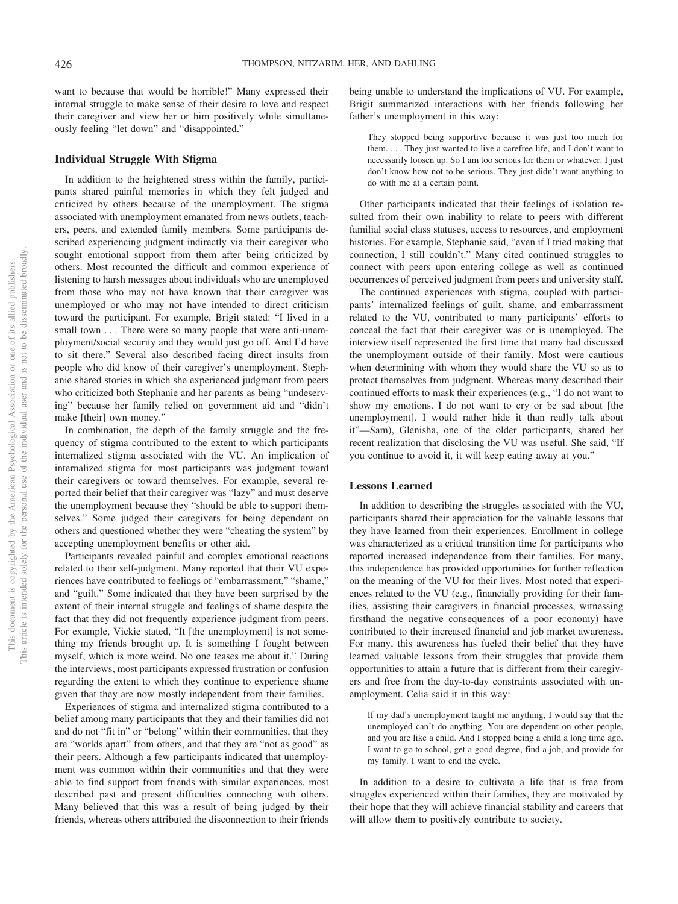want to because that would be horrible!" Many expressed their internal struggle to make sense of their desire to love and respect their caregiver and view her or him positively while simultaneously feeling "let down" and "disappointed."

#### **Individual Struggle With Stigma**

In addition to the heightened stress within the family, participants shared painful memories in which they felt judged and criticized by others because of the unemployment. The stigma associated with unemployment emanated from news outlets, teachers, peers, and extended family members. Some participants described experiencing judgment indirectly via their caregiver who sought emotional support from them after being criticized by others. Most recounted the difficult and common experience of listening to harsh messages about individuals who are unemployed from those who may not have known that their caregiver was unemployed or who may not have intended to direct criticism toward the participant. For example, Brigit stated: "I lived in a small town . . . There were so many people that were anti-unemployment/social security and they would just go off. And I'd have to sit there." Several also described facing direct insults from people who did know of their caregiver's unemployment. Stephanie shared stories in which she experienced judgment from peers who criticized both Stephanie and her parents as being "undeserving" because her family relied on government aid and "didn't make [their] own money."

In combination, the depth of the family struggle and the frequency of stigma contributed to the extent to which participants internalized stigma associated with the VU. An implication of internalized stigma for most participants was judgment toward their caregivers or toward themselves. For example, several reported their belief that their caregiver was "lazy" and must deserve the unemployment because they "should be able to support themselves." Some judged their caregivers for being dependent on others and questioned whether they were "cheating the system" by accepting unemployment benefits or other aid.

Participants revealed painful and complex emotional reactions related to their self-judgment. Many reported that their VU experiences have contributed to feelings of "embarrassment," "shame," and "guilt." Some indicated that they have been surprised by the extent of their internal struggle and feelings of shame despite the fact that they did not frequently experience judgment from peers. For example, Vickie stated, "It [the unemployment] is not something my friends brought up. It is something I fought between myself, which is more weird. No one teases me about it." During the interviews, most participants expressed frustration or confusion regarding the extent to which they continue to experience shame given that they are now mostly independent from their families.

Experiences of stigma and internalized stigma contributed to a belief among many participants that they and their families did not and do not "fit in" or "belong" within their communities, that they are "worlds apart" from others, and that they are "not as good" as their peers. Although a few participants indicated that unemployment was common within their communities and that they were able to find support from friends with similar experiences, most described past and present difficulties connecting with others. Many believed that this was a result of being judged by their friends, whereas others attributed the disconnection to their friends

being unable to understand the implications of VU. For example, Brigit summarized interactions with her friends following her father's unemployment in this way:

They stopped being supportive because it was just too much for them. . . . They just wanted to live a carefree life, and I don't want to necessarily loosen up. So I am too serious for them or whatever. I just don't know how not to be serious. They just didn't want anything to do with me at a certain point.

Other participants indicated that their feelings of isolation resulted from their own inability to relate to peers with different familial social class statuses, access to resources, and employment histories. For example, Stephanie said, "even if I tried making that connection, I still couldn't." Many cited continued struggles to connect with peers upon entering college as well as continued occurrences of perceived judgment from peers and university staff.

The continued experiences with stigma, coupled with participants' internalized feelings of guilt, shame, and embarrassment related to the VU, contributed to many participants' efforts to conceal the fact that their caregiver was or is unemployed. The interview itself represented the first time that many had discussed the unemployment outside of their family. Most were cautious when determining with whom they would share the VU so as to protect themselves from judgment. Whereas many described their continued efforts to mask their experiences (e.g., "I do not want to show my emotions. I do not want to cry or be sad about [the unemployment]. I would rather hide it than really talk about it"—Sam), Glenisha, one of the older participants, shared her recent realization that disclosing the VU was useful. She said, "If you continue to avoid it, it will keep eating away at you."

## **Lessons Learned**

In addition to describing the struggles associated with the VU, participants shared their appreciation for the valuable lessons that they have learned from their experiences. Enrollment in college was characterized as a critical transition time for participants who reported increased independence from their families. For many, this independence has provided opportunities for further reflection on the meaning of the VU for their lives. Most noted that experiences related to the VU (e.g., financially providing for their families, assisting their caregivers in financial processes, witnessing firsthand the negative consequences of a poor economy) have contributed to their increased financial and job market awareness. For many, this awareness has fueled their belief that they have learned valuable lessons from their struggles that provide them opportunities to attain a future that is different from their caregivers and free from the day-to-day constraints associated with unemployment. Celia said it in this way:

If my dad's unemployment taught me anything, I would say that the unemployed can't do anything. You are dependent on other people, and you are like a child. And I stopped being a child a long time ago. I want to go to school, get a good degree, find a job, and provide for my family. I want to end the cycle.

In addition to a desire to cultivate a life that is free from struggles experienced within their families, they are motivated by their hope that they will achieve financial stability and careers that will allow them to positively contribute to society.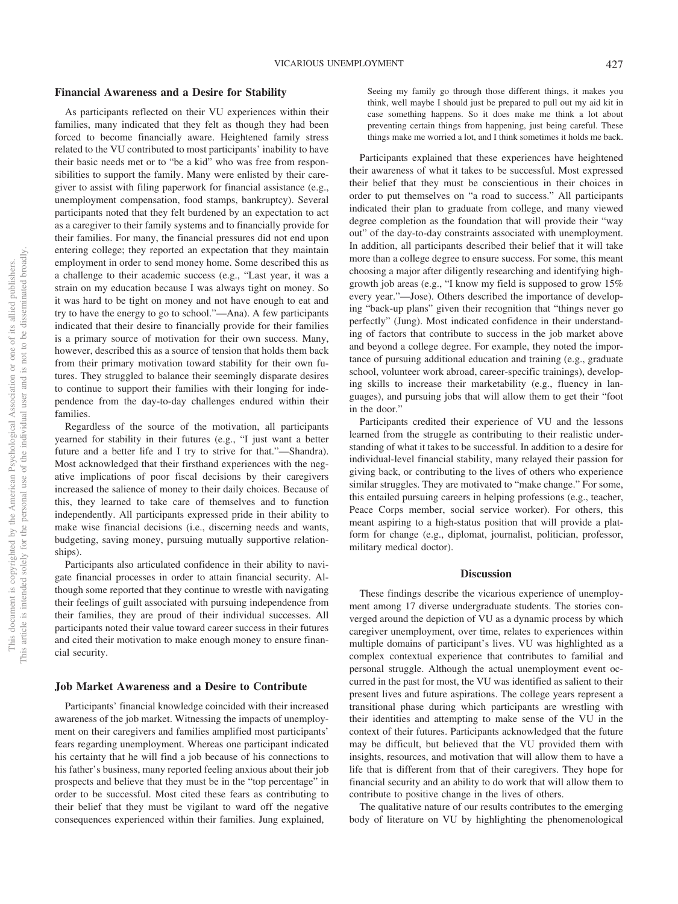## **Financial Awareness and a Desire for Stability**

As participants reflected on their VU experiences within their families, many indicated that they felt as though they had been forced to become financially aware. Heightened family stress related to the VU contributed to most participants' inability to have their basic needs met or to "be a kid" who was free from responsibilities to support the family. Many were enlisted by their caregiver to assist with filing paperwork for financial assistance (e.g., unemployment compensation, food stamps, bankruptcy). Several participants noted that they felt burdened by an expectation to act as a caregiver to their family systems and to financially provide for their families. For many, the financial pressures did not end upon entering college; they reported an expectation that they maintain employment in order to send money home. Some described this as a challenge to their academic success (e.g., "Last year, it was a strain on my education because I was always tight on money. So it was hard to be tight on money and not have enough to eat and try to have the energy to go to school."—Ana). A few participants indicated that their desire to financially provide for their families is a primary source of motivation for their own success. Many, however, described this as a source of tension that holds them back from their primary motivation toward stability for their own futures. They struggled to balance their seemingly disparate desires to continue to support their families with their longing for independence from the day-to-day challenges endured within their families.

Regardless of the source of the motivation, all participants yearned for stability in their futures (e.g., "I just want a better future and a better life and I try to strive for that."—Shandra). Most acknowledged that their firsthand experiences with the negative implications of poor fiscal decisions by their caregivers increased the salience of money to their daily choices. Because of this, they learned to take care of themselves and to function independently. All participants expressed pride in their ability to make wise financial decisions (i.e., discerning needs and wants, budgeting, saving money, pursuing mutually supportive relationships).

Participants also articulated confidence in their ability to navigate financial processes in order to attain financial security. Although some reported that they continue to wrestle with navigating their feelings of guilt associated with pursuing independence from their families, they are proud of their individual successes. All participants noted their value toward career success in their futures and cited their motivation to make enough money to ensure financial security.

# **Job Market Awareness and a Desire to Contribute**

Participants' financial knowledge coincided with their increased awareness of the job market. Witnessing the impacts of unemployment on their caregivers and families amplified most participants' fears regarding unemployment. Whereas one participant indicated his certainty that he will find a job because of his connections to his father's business, many reported feeling anxious about their job prospects and believe that they must be in the "top percentage" in order to be successful. Most cited these fears as contributing to their belief that they must be vigilant to ward off the negative consequences experienced within their families. Jung explained,

Seeing my family go through those different things, it makes you think, well maybe I should just be prepared to pull out my aid kit in case something happens. So it does make me think a lot about preventing certain things from happening, just being careful. These things make me worried a lot, and I think sometimes it holds me back.

Participants explained that these experiences have heightened their awareness of what it takes to be successful. Most expressed their belief that they must be conscientious in their choices in order to put themselves on "a road to success." All participants indicated their plan to graduate from college, and many viewed degree completion as the foundation that will provide their "way out" of the day-to-day constraints associated with unemployment. In addition, all participants described their belief that it will take more than a college degree to ensure success. For some, this meant choosing a major after diligently researching and identifying highgrowth job areas (e.g., "I know my field is supposed to grow 15% every year."—Jose). Others described the importance of developing "back-up plans" given their recognition that "things never go perfectly" (Jung). Most indicated confidence in their understanding of factors that contribute to success in the job market above and beyond a college degree. For example, they noted the importance of pursuing additional education and training (e.g., graduate school, volunteer work abroad, career-specific trainings), developing skills to increase their marketability (e.g., fluency in languages), and pursuing jobs that will allow them to get their "foot in the door."

Participants credited their experience of VU and the lessons learned from the struggle as contributing to their realistic understanding of what it takes to be successful. In addition to a desire for individual-level financial stability, many relayed their passion for giving back, or contributing to the lives of others who experience similar struggles. They are motivated to "make change." For some, this entailed pursuing careers in helping professions (e.g., teacher, Peace Corps member, social service worker). For others, this meant aspiring to a high-status position that will provide a platform for change (e.g., diplomat, journalist, politician, professor, military medical doctor).

#### **Discussion**

These findings describe the vicarious experience of unemployment among 17 diverse undergraduate students. The stories converged around the depiction of VU as a dynamic process by which caregiver unemployment, over time, relates to experiences within multiple domains of participant's lives. VU was highlighted as a complex contextual experience that contributes to familial and personal struggle. Although the actual unemployment event occurred in the past for most, the VU was identified as salient to their present lives and future aspirations. The college years represent a transitional phase during which participants are wrestling with their identities and attempting to make sense of the VU in the context of their futures. Participants acknowledged that the future may be difficult, but believed that the VU provided them with insights, resources, and motivation that will allow them to have a life that is different from that of their caregivers. They hope for financial security and an ability to do work that will allow them to contribute to positive change in the lives of others.

The qualitative nature of our results contributes to the emerging body of literature on VU by highlighting the phenomenological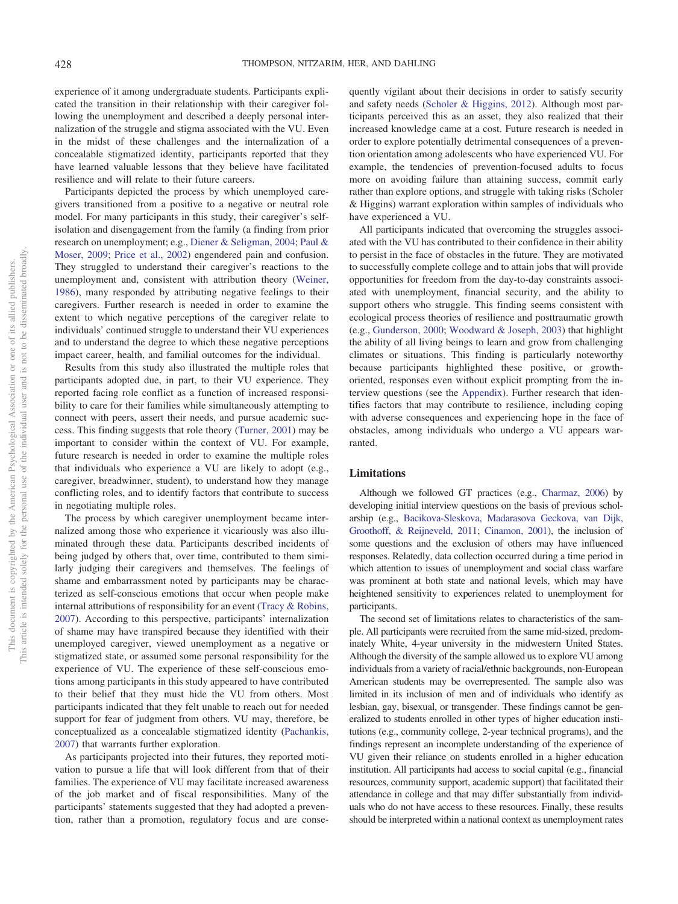experience of it among undergraduate students. Participants explicated the transition in their relationship with their caregiver following the unemployment and described a deeply personal internalization of the struggle and stigma associated with the VU. Even in the midst of these challenges and the internalization of a concealable stigmatized identity, participants reported that they have learned valuable lessons that they believe have facilitated resilience and will relate to their future careers.

Participants depicted the process by which unemployed caregivers transitioned from a positive to a negative or neutral role model. For many participants in this study, their caregiver's selfisolation and disengagement from the family (a finding from prior research on unemployment; e.g., [Diener & Seligman, 2004;](#page-8-7) [Paul &](#page-9-3) [Moser, 2009;](#page-9-3) [Price et al., 2002\)](#page-9-2) engendered pain and confusion. They struggled to understand their caregiver's reactions to the unemployment and, consistent with attribution theory [\(Weiner,](#page-9-31) [1986\)](#page-9-31), many responded by attributing negative feelings to their caregivers. Further research is needed in order to examine the extent to which negative perceptions of the caregiver relate to individuals' continued struggle to understand their VU experiences and to understand the degree to which these negative perceptions impact career, health, and familial outcomes for the individual.

Results from this study also illustrated the multiple roles that participants adopted due, in part, to their VU experience. They reported facing role conflict as a function of increased responsibility to care for their families while simultaneously attempting to connect with peers, assert their needs, and pursue academic success. This finding suggests that role theory [\(Turner, 2001\)](#page-9-32) may be important to consider within the context of VU. For example, future research is needed in order to examine the multiple roles that individuals who experience a VU are likely to adopt (e.g., caregiver, breadwinner, student), to understand how they manage conflicting roles, and to identify factors that contribute to success in negotiating multiple roles.

The process by which caregiver unemployment became internalized among those who experience it vicariously was also illuminated through these data. Participants described incidents of being judged by others that, over time, contributed to them similarly judging their caregivers and themselves. The feelings of shame and embarrassment noted by participants may be characterized as self-conscious emotions that occur when people make internal attributions of responsibility for an event [\(Tracy & Robins,](#page-9-33) [2007\)](#page-9-33). According to this perspective, participants' internalization of shame may have transpired because they identified with their unemployed caregiver, viewed unemployment as a negative or stigmatized state, or assumed some personal responsibility for the experience of VU. The experience of these self-conscious emotions among participants in this study appeared to have contributed to their belief that they must hide the VU from others. Most participants indicated that they felt unable to reach out for needed support for fear of judgment from others. VU may, therefore, be conceptualized as a concealable stigmatized identity [\(Pachankis,](#page-9-34) [2007\)](#page-9-34) that warrants further exploration.

As participants projected into their futures, they reported motivation to pursue a life that will look different from that of their families. The experience of VU may facilitate increased awareness of the job market and of fiscal responsibilities. Many of the participants' statements suggested that they had adopted a prevention, rather than a promotion, regulatory focus and are consequently vigilant about their decisions in order to satisfy security and safety needs [\(Scholer & Higgins, 2012\)](#page-9-35). Although most participants perceived this as an asset, they also realized that their increased knowledge came at a cost. Future research is needed in order to explore potentially detrimental consequences of a prevention orientation among adolescents who have experienced VU. For example, the tendencies of prevention-focused adults to focus more on avoiding failure than attaining success, commit early rather than explore options, and struggle with taking risks (Scholer & Higgins) warrant exploration within samples of individuals who have experienced a VU.

All participants indicated that overcoming the struggles associated with the VU has contributed to their confidence in their ability to persist in the face of obstacles in the future. They are motivated to successfully complete college and to attain jobs that will provide opportunities for freedom from the day-to-day constraints associated with unemployment, financial security, and the ability to support others who struggle. This finding seems consistent with ecological process theories of resilience and posttraumatic growth (e.g., [Gunderson, 2000;](#page-9-36) [Woodward & Joseph, 2003\)](#page-9-37) that highlight the ability of all living beings to learn and grow from challenging climates or situations. This finding is particularly noteworthy because participants highlighted these positive, or growthoriented, responses even without explicit prompting from the interview questions (see the [Appendix\)](#page-10-0). Further research that identifies factors that may contribute to resilience, including coping with adverse consequences and experiencing hope in the face of obstacles, among individuals who undergo a VU appears warranted.

#### **Limitations**

Although we followed GT practices (e.g., [Charmaz, 2006\)](#page-8-0) by developing initial interview questions on the basis of previous scholarship (e.g., [Bacikova-Sleskova, Madarasova Geckova, van Dijk,](#page-8-20) [Groothoff, & Reijneveld, 2011;](#page-8-20) [Cinamon, 2001\)](#page-8-4), the inclusion of some questions and the exclusion of others may have influenced responses. Relatedly, data collection occurred during a time period in which attention to issues of unemployment and social class warfare was prominent at both state and national levels, which may have heightened sensitivity to experiences related to unemployment for participants.

The second set of limitations relates to characteristics of the sample. All participants were recruited from the same mid-sized, predominately White, 4-year university in the midwestern United States. Although the diversity of the sample allowed us to explore VU among individuals from a variety of racial/ethnic backgrounds, non-European American students may be overrepresented. The sample also was limited in its inclusion of men and of individuals who identify as lesbian, gay, bisexual, or transgender. These findings cannot be generalized to students enrolled in other types of higher education institutions (e.g., community college, 2-year technical programs), and the findings represent an incomplete understanding of the experience of VU given their reliance on students enrolled in a higher education institution. All participants had access to social capital (e.g., financial resources, community support, academic support) that facilitated their attendance in college and that may differ substantially from individuals who do not have access to these resources. Finally, these results should be interpreted within a national context as unemployment rates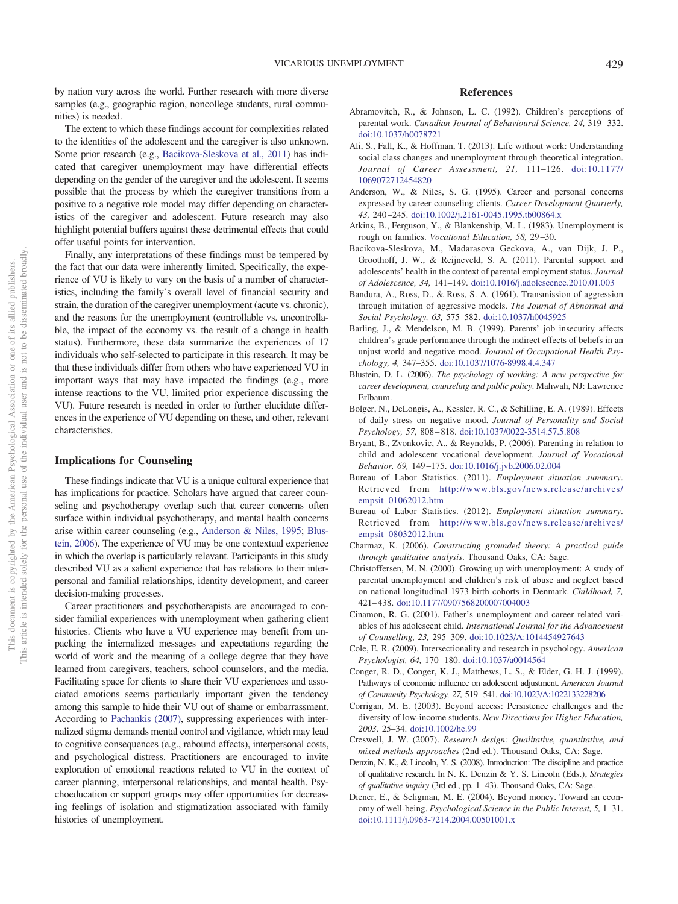<span id="page-8-17"></span>by nation vary across the world. Further research with more diverse samples (e.g., geographic region, noncollege students, rural communities) is needed.

The extent to which these findings account for complexities related to the identities of the adolescent and the caregiver is also unknown. Some prior research (e.g., [Bacikova-Sleskova et al., 2011\)](#page-8-20) has indicated that caregiver unemployment may have differential effects depending on the gender of the caregiver and the adolescent. It seems possible that the process by which the caregiver transitions from a positive to a negative role model may differ depending on characteristics of the caregiver and adolescent. Future research may also highlight potential buffers against these detrimental effects that could offer useful points for intervention.

Finally, any interpretations of these findings must be tempered by the fact that our data were inherently limited. Specifically, the experience of VU is likely to vary on the basis of a number of characteristics, including the family's overall level of financial security and strain, the duration of the caregiver unemployment (acute vs. chronic), and the reasons for the unemployment (controllable vs. uncontrollable, the impact of the economy vs. the result of a change in health status). Furthermore, these data summarize the experiences of 17 individuals who self-selected to participate in this research. It may be that these individuals differ from others who have experienced VU in important ways that may have impacted the findings (e.g., more intense reactions to the VU, limited prior experience discussing the VU). Future research is needed in order to further elucidate differences in the experience of VU depending on these, and other, relevant characteristics.

## **Implications for Counseling**

These findings indicate that VU is a unique cultural experience that has implications for practice. Scholars have argued that career counseling and psychotherapy overlap such that career concerns often surface within individual psychotherapy, and mental health concerns arise within career counseling (e.g., [Anderson & Niles, 1995;](#page-8-21) [Blus](#page-8-3)[tein, 2006\)](#page-8-3). The experience of VU may be one contextual experience in which the overlap is particularly relevant. Participants in this study described VU as a salient experience that has relations to their interpersonal and familial relationships, identity development, and career decision-making processes.

Career practitioners and psychotherapists are encouraged to consider familial experiences with unemployment when gathering client histories. Clients who have a VU experience may benefit from unpacking the internalized messages and expectations regarding the world of work and the meaning of a college degree that they have learned from caregivers, teachers, school counselors, and the media. Facilitating space for clients to share their VU experiences and associated emotions seems particularly important given the tendency among this sample to hide their VU out of shame or embarrassment. According to [Pachankis \(2007\),](#page-9-34) suppressing experiences with internalized stigma demands mental control and vigilance, which may lead to cognitive consequences (e.g., rebound effects), interpersonal costs, and psychological distress. Practitioners are encouraged to invite exploration of emotional reactions related to VU in the context of career planning, interpersonal relationships, and mental health. Psychoeducation or support groups may offer opportunities for decreasing feelings of isolation and stigmatization associated with family histories of unemployment.

## **References**

- <span id="page-8-12"></span>Abramovitch, R., & Johnson, L. C. (1992). Children's perceptions of parental work. *Canadian Journal of Behavioural Science, 24,* 319 –332. [doi:10.1037/h0078721](http://dx.doi.org/10.1037/h0078721)
- <span id="page-8-2"></span>Ali, S., Fall, K., & Hoffman, T. (2013). Life without work: Understanding social class changes and unemployment through theoretical integration. *Journal of Career Assessment, 21,* 111–126. [doi:10.1177/](http://dx.doi.org/10.1177/1069072712454820) [1069072712454820](http://dx.doi.org/10.1177/1069072712454820)
- <span id="page-8-21"></span>Anderson, W., & Niles, S. G. (1995). Career and personal concerns expressed by career counseling clients. *Career Development Quarterly, 43,* 240 –245. [doi:10.1002/j.2161-0045.1995.tb00864.x](http://dx.doi.org/10.1002/j.2161-0045.1995.tb00864.x)
- <span id="page-8-8"></span>Atkins, B., Ferguson, Y., & Blankenship, M. L. (1983). Unemployment is rough on families. *Vocational Education, 58,* 29 –30.
- <span id="page-8-20"></span>Bacikova-Sleskova, M., Madarasova Geckova, A., van Dijk, J. P., Groothoff, J. W., & Reijneveld, S. A. (2011). Parental support and adolescents' health in the context of parental employment status. *Journal of Adolescence, 34,* 141–149. [doi:10.1016/j.adolescence.2010.01.003](http://dx.doi.org/10.1016/j.adolescence.2010.01.003)
- <span id="page-8-9"></span>Bandura, A., Ross, D., & Ross, S. A. (1961). Transmission of aggression through imitation of aggressive models. *The Journal of Abnormal and Social Psychology, 63,* 575–582. [doi:10.1037/h0045925](http://dx.doi.org/10.1037/h0045925)
- <span id="page-8-14"></span>Barling, J., & Mendelson, M. B. (1999). Parents' job insecurity affects children's grade performance through the indirect effects of beliefs in an unjust world and negative mood. *Journal of Occupational Health Psychology, 4,* 347–355. [doi:10.1037/1076-8998.4.4.347](http://dx.doi.org/10.1037/1076-8998.4.4.347)
- <span id="page-8-3"></span>Blustein, D. L. (2006). *The psychology of working: A new perspective for career development, counseling and public policy*. Mahwah, NJ: Lawrence Erlbaum.
- <span id="page-8-11"></span>Bolger, N., DeLongis, A., Kessler, R. C., & Schilling, E. A. (1989). Effects of daily stress on negative mood. *Journal of Personality and Social Psychology, 57,* 808 – 818. [doi:10.1037/0022-3514.57.5.808](http://dx.doi.org/10.1037/0022-3514.57.5.808)
- <span id="page-8-13"></span>Bryant, B., Zvonkovic, A., & Reynolds, P. (2006). Parenting in relation to child and adolescent vocational development. *Journal of Vocational Behavior, 69,* 149 –175. [doi:10.1016/j.jvb.2006.02.004](http://dx.doi.org/10.1016/j.jvb.2006.02.004)
- <span id="page-8-18"></span>Bureau of Labor Statistics. (2011). *Employment situation summary*. Retrieved from [http://www.bls.gov/news.release/archives/](http://www.bls.gov/news.release/archives/empsit_01062012.htm) [empsit\\_01062012.htm](http://www.bls.gov/news.release/archives/empsit_01062012.htm)
- <span id="page-8-1"></span>Bureau of Labor Statistics. (2012). *Employment situation summary*. Retrieved from [http://www.bls.gov/news.release/archives/](http://www.bls.gov/news.release/empsit.nr0.htm) [empsit\\_08032012.htm](http://www.bls.gov/news.release/empsit.nr0.htm)
- <span id="page-8-0"></span>Charmaz, K. (2006). *Constructing grounded theory: A practical guide through qualitative analysis*. Thousand Oaks, CA: Sage.
- <span id="page-8-5"></span>Christoffersen, M. N. (2000). Growing up with unemployment: A study of parental unemployment and children's risk of abuse and neglect based on national longitudinal 1973 birth cohorts in Denmark. *Childhood, 7,* 421– 438. [doi:10.1177/0907568200007004003](http://dx.doi.org/10.1177/0907568200007004003)
- <span id="page-8-4"></span>Cinamon, R. G. (2001). Father's unemployment and career related variables of his adolescent child. *International Journal for the Advancement of Counselling, 23,* 295–309. [doi:10.1023/A:1014454927643](http://dx.doi.org/10.1023/A:1014454927643)
- <span id="page-8-10"></span>Cole, E. R. (2009). Intersectionality and research in psychology. *American Psychologist, 64,* 170 –180. [doi:10.1037/a0014564](http://dx.doi.org/10.1037/a0014564)
- <span id="page-8-6"></span>Conger, R. D., Conger, K. J., Matthews, L. S., & Elder, G. H. J. (1999). Pathways of economic influence on adolescent adjustment. *American Journal of Community Psychology, 27,* 519–541. [doi:10.1023/A:1022133228206](http://dx.doi.org/10.1023/A:1022133228206)
- <span id="page-8-15"></span>Corrigan, M. E. (2003). Beyond access: Persistence challenges and the diversity of low-income students. *New Directions for Higher Education, 2003,* 25–34. [doi:10.1002/he.99](http://dx.doi.org/10.1002/he.99)
- <span id="page-8-16"></span>Creswell, J. W. (2007). *Research design: Qualitative, quantitative, and mixed methods approaches* (2nd ed.). Thousand Oaks, CA: Sage.
- <span id="page-8-19"></span>Denzin, N. K., & Lincoln, Y. S. (2008). Introduction: The discipline and practice of qualitative research. In N. K. Denzin & Y. S. Lincoln (Eds.), *Strategies of qualitative inquiry* (3rd ed., pp. 1–43). Thousand Oaks, CA: Sage.
- <span id="page-8-7"></span>Diener, E., & Seligman, M. E. (2004). Beyond money. Toward an economy of well-being. *Psychological Science in the Public Interest, 5,* 1–31. [doi:10.1111/j.0963-7214.2004.00501001.x](http://dx.doi.org/10.1111/j.0963-7214.2004.00501001.x)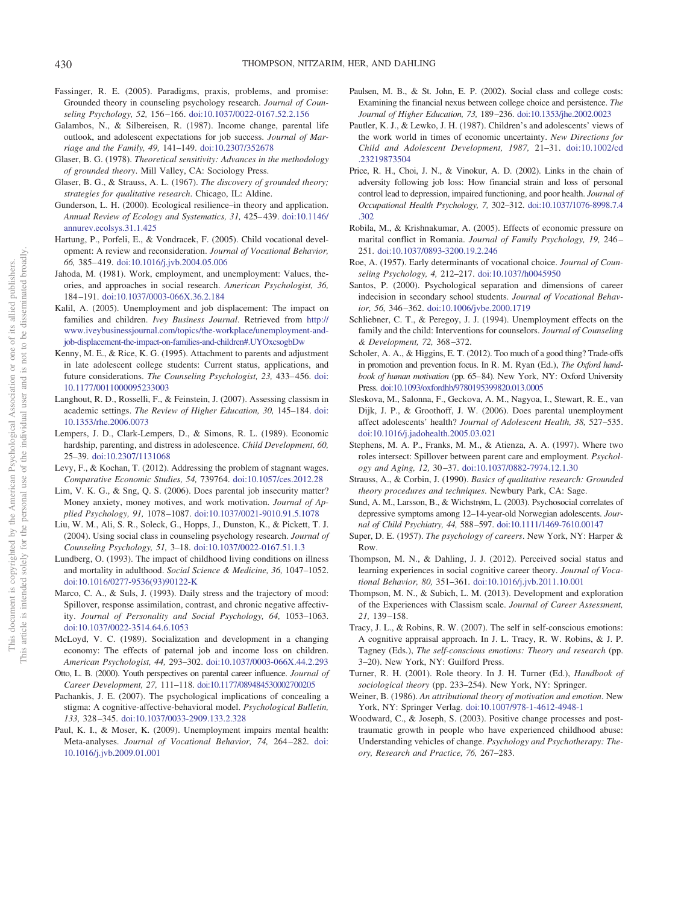- Fassinger, R. E. (2005). Paradigms, praxis, problems, and promise: Grounded theory in counseling psychology research. *Journal of Counseling Psychology, 52,* 156 –166. [doi:10.1037/0022-0167.52.2.156](http://dx.doi.org/10.1037/0022-0167.52.2.156)
- <span id="page-9-22"></span>Galambos, N., & Silbereisen, R. (1987). Income change, parental life outlook, and adolescent expectations for job success. *Journal of Marriage and the Family, 49,* 141–149. [doi:10.2307/352678](http://dx.doi.org/10.2307/352678)
- <span id="page-9-30"></span>Glaser, B. G. (1978). *Theoretical sensitivity: Advances in the methodology of grounded theory*. Mill Valley, CA: Sociology Press.
- <span id="page-9-0"></span>Glaser, B. G., & Strauss, A. L. (1967). *The discovery of grounded theory; strategies for qualitative research*. Chicago, IL: Aldine.
- <span id="page-9-36"></span>Gunderson, L. H. (2000). Ecological resilience–in theory and application. *Annual Review of Ecology and Systematics, 31,* 425– 439. [doi:10.1146/](http://dx.doi.org/10.1146/annurev.ecolsys.31.1.425) [annurev.ecolsys.31.1.425](http://dx.doi.org/10.1146/annurev.ecolsys.31.1.425)
- <span id="page-9-14"></span>Hartung, P., Porfeli, E., & Vondracek, F. (2005). Child vocational development: A review and reconsideration. *Journal of Vocational Behavior, 66,* 385– 419. [doi:10.1016/j.jvb.2004.05.006](http://dx.doi.org/10.1016/j.jvb.2004.05.006)
- <span id="page-9-18"></span>Jahoda, M. (1981). Work, employment, and unemployment: Values, theories, and approaches in social research. *American Psychologist, 36,* 184 –191. [doi:10.1037/0003-066X.36.2.184](http://dx.doi.org/10.1037/0003-066X.36.2.184)
- <span id="page-9-9"></span>Kalil, A. (2005). Unemployment and job displacement: The impact on families and children. *Ivey Business Journal*. Retrieved from [http://](http://www.iveybusinessjournal.com/topics/the-workplace/unemployment-and-job-displacement-the-impact-on-families-and-children#.UYOxcsogbDw) [www.iveybusinessjournal.com/topics/the-workplace/unemployment-and](http://www.iveybusinessjournal.com/topics/the-workplace/unemployment-and-job-displacement-the-impact-on-families-and-children#.UYOxcsogbDw)[job-displacement-the-impact-on-families-and-children#.UYOxcsogbDw](http://www.iveybusinessjournal.com/topics/the-workplace/unemployment-and-job-displacement-the-impact-on-families-and-children#.UYOxcsogbDw)
- <span id="page-9-27"></span>Kenny, M. E., & Rice, K. G. (1995). Attachment to parents and adjustment in late adolescent college students: Current status, applications, and future considerations. *The Counseling Psychologist*, 23, 433-456. [doi:](http://dx.doi.org/10.1177/0011000095233003) [10.1177/0011000095233003](http://dx.doi.org/10.1177/0011000095233003)
- <span id="page-9-28"></span>Langhout, R. D., Rosselli, F., & Feinstein, J. (2007). Assessing classism in academic settings. *The Review of Higher Education, 30,* 145–184. [doi:](http://dx.doi.org/10.1353/rhe.2006.0073) [10.1353/rhe.2006.0073](http://dx.doi.org/10.1353/rhe.2006.0073)
- <span id="page-9-10"></span>Lempers, J. D., Clark-Lempers, D., & Simons, R. L. (1989). Economic hardship, parenting, and distress in adolescence. *Child Development, 60,* 25–39. [doi:10.2307/1131068](http://dx.doi.org/10.2307/1131068)
- <span id="page-9-1"></span>Levy, F., & Kochan, T. (2012). Addressing the problem of stagnant wages. *Comparative Economic Studies, 54,* 739764. [doi:10.1057/ces.2012.28](http://dx.doi.org/10.1057/ces.2012.28)
- <span id="page-9-23"></span>Lim, V. K. G., & Sng, Q. S. (2006). Does parental job insecurity matter? Money anxiety, money motives, and work motivation. *Journal of Applied Psychology, 91,* 1078 –1087. [doi:10.1037/0021-9010.91.5.1078](http://dx.doi.org/10.1037/0021-9010.91.5.1078)
- <span id="page-9-19"></span>Liu, W. M., Ali, S. R., Soleck, G., Hopps, J., Dunston, K., & Pickett, T. J. (2004). Using social class in counseling psychology research. *Journal of Counseling Psychology, 51,* 3–18. [doi:10.1037/0022-0167.51.1.3](http://dx.doi.org/10.1037/0022-0167.51.1.3)
- <span id="page-9-4"></span>Lundberg, O. (1993). The impact of childhood living conditions on illness and mortality in adulthood. *Social Science & Medicine, 36,* 1047–1052. [doi:10.1016/0277-9536\(93\)90122-K](http://dx.doi.org/10.1016/0277-9536%2893%2990122-K)
- <span id="page-9-20"></span>Marco, C. A., & Suls, J. (1993). Daily stress and the trajectory of mood: Spillover, response assimilation, contrast, and chronic negative affectivity. *Journal of Personality and Social Psychology, 64,* 1053–1063. [doi:10.1037/0022-3514.64.6.1053](http://dx.doi.org/10.1037/0022-3514.64.6.1053)
- <span id="page-9-11"></span>McLoyd, V. C. (1989). Socialization and development in a changing economy: The effects of paternal job and income loss on children. *American Psychologist, 44,* 293–302. [doi:10.1037/0003-066X.44.2.293](http://dx.doi.org/10.1037/0003-066X.44.2.293)
- <span id="page-9-15"></span>Otto, L. B. (2000). Youth perspectives on parental career influence. *Journal of Career Development, 27,* 111–118. [doi:10.1177/089484530002700205](http://dx.doi.org/10.1177/089484530002700205)
- <span id="page-9-34"></span>Pachankis, J. E. (2007). The psychological implications of concealing a stigma: A cognitive-affective-behavioral model. *Psychological Bulletin, 133,* 328 –345. [doi:10.1037/0033-2909.133.2.328](http://dx.doi.org/10.1037/0033-2909.133.2.328)
- <span id="page-9-3"></span>Paul, K. I., & Moser, K. (2009). Unemployment impairs mental health: Meta-analyses. *Journal of Vocational Behavior, 74,* 264 –282. [doi:](http://dx.doi.org/10.1016/j.jvb.2009.01.001) [10.1016/j.jvb.2009.01.001](http://dx.doi.org/10.1016/j.jvb.2009.01.001)
- <span id="page-9-25"></span>Paulsen, M. B., & St. John, E. P. (2002). Social class and college costs: Examining the financial nexus between college choice and persistence. *The Journal of Higher Education, 73,* 189 –236. [doi:10.1353/jhe.2002.0023](http://dx.doi.org/10.1353/jhe.2002.0023)
- <span id="page-9-26"></span>Pautler, K. J., & Lewko, J. H. (1987). Children's and adolescents' views of the work world in times of economic uncertainty. *New Directions for Child and Adolescent Development, 1987,* 21–31. [doi:10.1002/cd](http://dx.doi.org/10.1002/cd.23219873504) [.23219873504](http://dx.doi.org/10.1002/cd.23219873504)
- <span id="page-9-2"></span>Price, R. H., Choi, J. N., & Vinokur, A. D. (2002). Links in the chain of adversity following job loss: How financial strain and loss of personal control lead to depression, impaired functioning, and poor health. *Journal of Occupational Health Psychology, 7,* 302–312. [doi:10.1037/1076-8998.7.4](http://dx.doi.org/10.1037/1076-8998.7.4.302) [.302](http://dx.doi.org/10.1037/1076-8998.7.4.302)
- <span id="page-9-6"></span>Robila, M., & Krishnakumar, A. (2005). Effects of economic pressure on marital conflict in Romania. *Journal of Family Psychology, 19,* 246 – 251. [doi:10.1037/0893-3200.19.2.246](http://dx.doi.org/10.1037/0893-3200.19.2.246)
- <span id="page-9-12"></span>Roe, A. (1957). Early determinants of vocational choice. *Journal of Counseling Psychology, 4,* 212–217. [doi:10.1037/h0045950](http://dx.doi.org/10.1037/h0045950)
- <span id="page-9-16"></span>Santos, P. (2000). Psychological separation and dimensions of career indecision in secondary school students. *Journal of Vocational Behavior, 56,* 346 –362. [doi:10.1006/jvbe.2000.1719](http://dx.doi.org/10.1006/jvbe.2000.1719)
- <span id="page-9-5"></span>Schliebner, C. T., & Peregoy, J. J. (1994). Unemployment effects on the family and the child: Interventions for counselors. *Journal of Counseling & Development, 72,* 368 –372.
- <span id="page-9-35"></span>Scholer, A. A., & Higgins, E. T. (2012). Too much of a good thing? Trade-offs in promotion and prevention focus. In R. M. Ryan (Ed.), *The Oxford handbook of human motivation* (pp. 65–84). New York, NY: Oxford University Press. [doi:10.1093/oxfordhb/9780195399820.013.0005](http://dx.doi.org/10.1093/oxfordhb/9780195399820.013.0005)
- <span id="page-9-7"></span>Sleskova, M., Salonna, F., Geckova, A. M., Nagyoa, I., Stewart, R. E., van Dijk, J. P., & Groothoff, J. W. (2006). Does parental unemployment affect adolescents' health? *Journal of Adolescent Health, 38,* 527–535. [doi:10.1016/j.jadohealth.2005.03.021](http://dx.doi.org/10.1016/j.jadohealth.2005.03.021)
- <span id="page-9-21"></span>Stephens, M. A. P., Franks, M. M., & Atienza, A. A. (1997). Where two roles intersect: Spillover between parent care and employment. *Psychology and Aging, 12,* 30 –37. [doi:10.1037/0882-7974.12.1.30](http://dx.doi.org/10.1037/0882-7974.12.1.30)
- <span id="page-9-29"></span>Strauss, A., & Corbin, J. (1990). *Basics of qualitative research: Grounded theory procedures and techniques*. Newbury Park, CA: Sage.
- <span id="page-9-8"></span>Sund, A. M., Larsson, B., & Wichstrøm, L. (2003). Psychosocial correlates of depressive symptoms among 12–14-year-old Norwegian adolescents. *Journal of Child Psychiatry, 44,* 588 –597. [doi:10.1111/1469-7610.00147](http://dx.doi.org/10.1111/1469-7610.00147)
- <span id="page-9-13"></span>Super, D. E. (1957). *The psychology of careers*. New York, NY: Harper & Row.
- <span id="page-9-17"></span>Thompson, M. N., & Dahling, J. J. (2012). Perceived social status and learning experiences in social cognitive career theory. *Journal of Vocational Behavior, 80,* 351–361. [doi:10.1016/j.jvb.2011.10.001](http://dx.doi.org/10.1016/j.jvb.2011.10.001)
- <span id="page-9-24"></span>Thompson, M. N., & Subich, L. M. (2013). Development and exploration of the Experiences with Classism scale. *Journal of Career Assessment, 21,* 139 –158.
- <span id="page-9-33"></span>Tracy, J. L., & Robins, R. W. (2007). The self in self-conscious emotions: A cognitive appraisal approach. In J. L. Tracy, R. W. Robins, & J. P. Tagney (Eds.), *The self-conscious emotions: Theory and research* (pp. 3–20). New York, NY: Guilford Press.
- <span id="page-9-32"></span>Turner, R. H. (2001). Role theory. In J. H. Turner (Ed.), *Handbook of sociological theory* (pp. 233–254). New York, NY: Springer.
- <span id="page-9-31"></span>Weiner, B. (1986). *An attributional theory of motivation and emotion*. New York, NY: Springer Verlag. [doi:10.1007/978-1-4612-4948-1](http://dx.doi.org/10.1007/978-1-4612-4948-1)
- <span id="page-9-37"></span>Woodward, C., & Joseph, S. (2003). Positive change processes and posttraumatic growth in people who have experienced childhood abuse: Understanding vehicles of change. *Psychology and Psychotherapy: Theory, Research and Practice, 76,* 267–283.